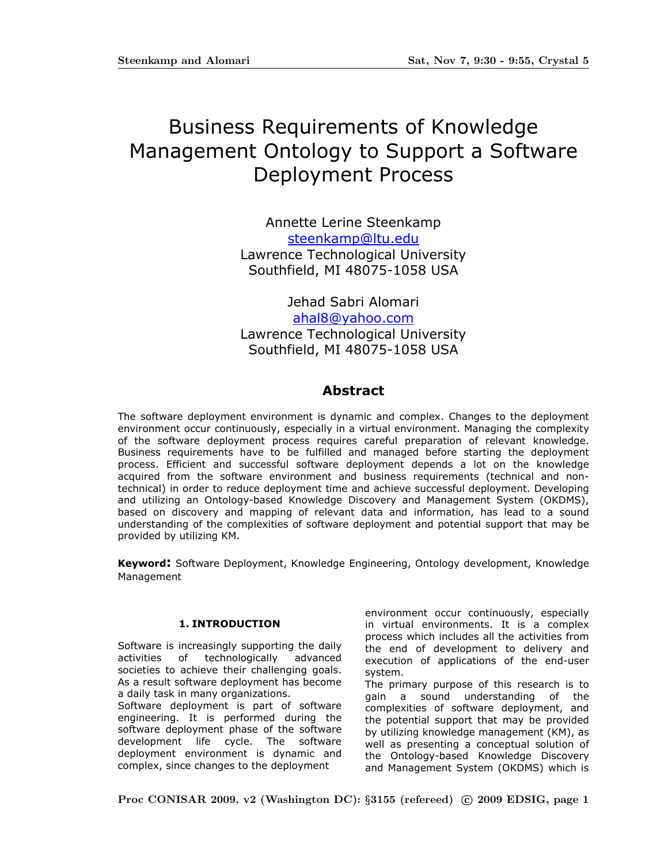# Business Requirements of Knowledge Management Ontology to Support a Software Deployment Process

Annette Lerine Steenkamp steenkamp@ltu.edu Lawrence Technological University Southfield, MI 48075-1058 USA

Jehad Sabri Alomari ahal8@yahoo.com Lawrence Technological University Southfield, MI 48075-1058 USA

# Abstract

The software deployment environment is dynamic and complex. Changes to the deployment environment occur continuously, especially in a virtual environment. Managing the complexity of the software deployment process requires careful preparation of relevant knowledge. Business requirements have to be fulfilled and managed before starting the deployment process. Efficient and successful software deployment depends a lot on the knowledge acquired from the software environment and business requirements (technical and nontechnical) in order to reduce deployment time and achieve successful deployment. Developing and utilizing an Ontology-based Knowledge Discovery and Management System (OKDMS), based on discovery and mapping of relevant data and information, has lead to a sound understanding of the complexities of software deployment and potential support that may be provided by utilizing KM.

Keyword: Software Deployment, Knowledge Engineering, Ontology development, Knowledge Management

# 1. INTRODUCTION

Software is increasingly supporting the daily activities of technologically advanced societies to achieve their challenging goals. As a result software deployment has become a daily task in many organizations.

Software deployment is part of software engineering. It is performed during the software deployment phase of the software development life cycle. The software deployment environment is dynamic and complex, since changes to the deployment

environment occur continuously, especially in virtual environments. It is a complex process which includes all the activities from the end of development to delivery and execution of applications of the end-user system.

The primary purpose of this research is to gain a sound understanding of the complexities of software deployment, and the potential support that may be provided by utilizing knowledge management (KM), as well as presenting a conceptual solution of the Ontology-based Knowledge Discovery and Management System (OKDMS) which is

Proc CONISAR 2009, v2 (Washington DC):  $\S 3155$  (refereed) © 2009 EDSIG, page 1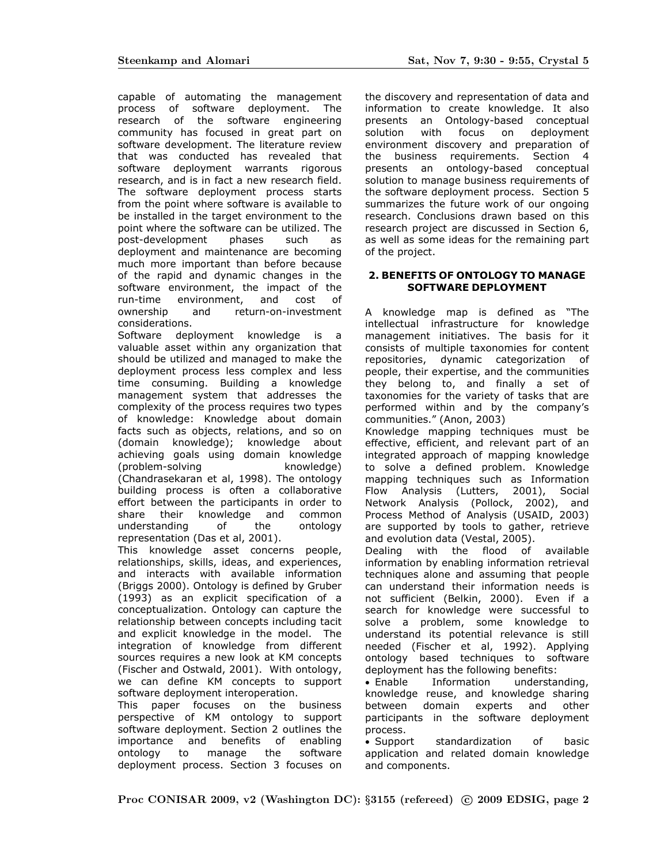capable of automating the management process of software deployment. The research of the software engineering community has focused in great part on software development. The literature review that was conducted has revealed that software deployment warrants rigorous research, and is in fact a new research field. The software deployment process starts from the point where software is available to be installed in the target environment to the point where the software can be utilized. The post-development phases such as deployment and maintenance are becoming much more important than before because of the rapid and dynamic changes in the software environment, the impact of the run-time environment, and cost of ownership and return-on-investment considerations.

Software deployment knowledge is a valuable asset within any organization that should be utilized and managed to make the deployment process less complex and less time consuming. Building a knowledge management system that addresses the complexity of the process requires two types of knowledge: Knowledge about domain facts such as objects, relations, and so on (domain knowledge); knowledge about achieving goals using domain knowledge (problem-solving knowledge) (Chandrasekaran et al, 1998). The ontology building process is often a collaborative effort between the participants in order to share their knowledge and common understanding of the ontology representation (Das et al, 2001).

This knowledge asset concerns people, relationships, skills, ideas, and experiences, and interacts with available information (Briggs 2000). Ontology is defined by Gruber (1993) as an explicit specification of a conceptualization. Ontology can capture the relationship between concepts including tacit and explicit knowledge in the model. The integration of knowledge from different sources requires a new look at KM concepts (Fischer and Ostwald, 2001). With ontology, we can define KM concepts to support software deployment interoperation.

This paper focuses on the business perspective of KM ontology to support software deployment. Section 2 outlines the importance and benefits of enabling ontology to manage the software deployment process. Section 3 focuses on the discovery and representation of data and information to create knowledge. It also presents an Ontology-based conceptual solution with focus on deployment environment discovery and preparation of the business requirements. Section 4 presents an ontology-based conceptual solution to manage business requirements of the software deployment process. Section 5 summarizes the future work of our ongoing research. Conclusions drawn based on this research project are discussed in Section 6, as well as some ideas for the remaining part of the project.

# 2. BENEFITS OF ONTOLOGY TO MANAGE SOFTWARE DEPLOYMENT

A knowledge map is defined as "The intellectual infrastructure for knowledge management initiatives. The basis for it consists of multiple taxonomies for content repositories, dynamic categorization of people, their expertise, and the communities they belong to, and finally a set of taxonomies for the variety of tasks that are performed within and by the company's communities." (Anon, 2003)

Knowledge mapping techniques must be effective, efficient, and relevant part of an integrated approach of mapping knowledge to solve a defined problem. Knowledge mapping techniques such as Information Flow Analysis (Lutters, 2001), Social Network Analysis (Pollock, 2002), and Process Method of Analysis (USAID, 2003) are supported by tools to gather, retrieve and evolution data (Vestal, 2005).

Dealing with the flood of available information by enabling information retrieval techniques alone and assuming that people can understand their information needs is not sufficient (Belkin, 2000). Even if a search for knowledge were successful to solve a problem, some knowledge to understand its potential relevance is still needed (Fischer et al, 1992). Applying ontology based techniques to software deployment has the following benefits:

• Enable Information understanding, knowledge reuse, and knowledge sharing between domain experts and other participants in the software deployment process.

• Support standardization of basic application and related domain knowledge and components.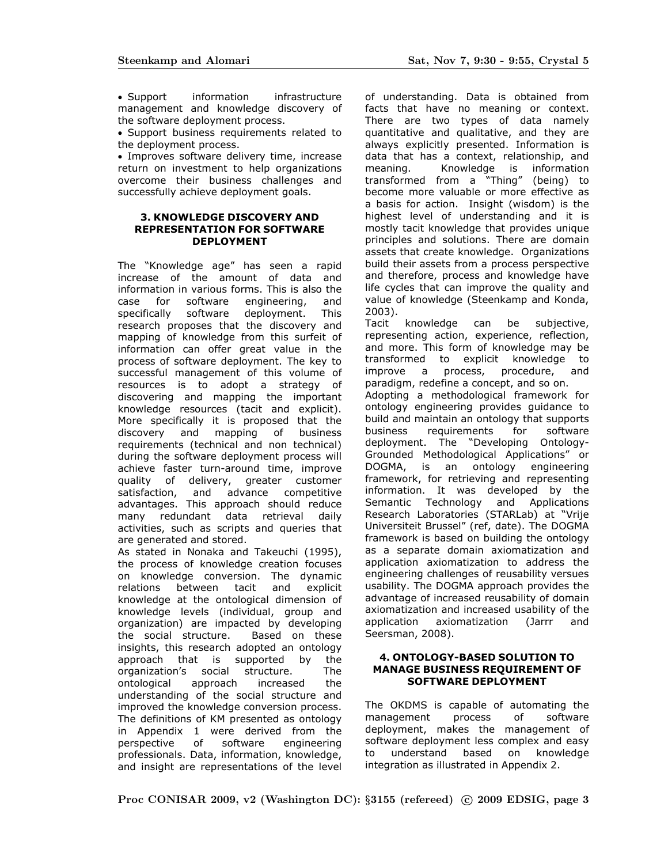• Support information infrastructure management and knowledge discovery of the software deployment process.

• Support business requirements related to the deployment process.

• Improves software delivery time, increase return on investment to help organizations overcome their business challenges and successfully achieve deployment goals.

#### 3. KNOWLEDGE DISCOVERY AND REPRESENTATION FOR SOFTWARE DEPLOYMENT

The "Knowledge age" has seen a rapid increase of the amount of data and information in various forms. This is also the case for software engineering, and specifically software deployment. This research proposes that the discovery and mapping of knowledge from this surfeit of information can offer great value in the process of software deployment. The key to successful management of this volume of resources is to adopt a strategy of discovering and mapping the important knowledge resources (tacit and explicit). More specifically it is proposed that the discovery and mapping of business requirements (technical and non technical) during the software deployment process will achieve faster turn-around time, improve quality of delivery, greater customer satisfaction, and advance competitive advantages. This approach should reduce many redundant data retrieval daily activities, such as scripts and queries that are generated and stored.

As stated in Nonaka and Takeuchi (1995), the process of knowledge creation focuses on knowledge conversion. The dynamic relations between tacit and explicit knowledge at the ontological dimension of knowledge levels (individual, group and organization) are impacted by developing the social structure. Based on these insights, this research adopted an ontology approach that is supported by the organization's social structure. The ontological approach increased the understanding of the social structure and improved the knowledge conversion process. The definitions of KM presented as ontology in Appendix 1 were derived from the perspective of software engineering professionals. Data, information, knowledge, and insight are representations of the level of understanding. Data is obtained from facts that have no meaning or context. There are two types of data namely quantitative and qualitative, and they are always explicitly presented. Information is data that has a context, relationship, and meaning. Knowledge is information transformed from a "Thing" (being) to become more valuable or more effective as a basis for action. Insight (wisdom) is the highest level of understanding and it is mostly tacit knowledge that provides unique principles and solutions. There are domain assets that create knowledge. Organizations build their assets from a process perspective and therefore, process and knowledge have life cycles that can improve the quality and value of knowledge (Steenkamp and Konda, 2003).

Tacit knowledge can be subjective, representing action, experience, reflection, and more. This form of knowledge may be transformed to explicit knowledge to improve a process, procedure, and paradigm, redefine a concept, and so on.

Adopting a methodological framework for ontology engineering provides guidance to build and maintain an ontology that supports business requirements for software deployment. The "Developing Ontology-Grounded Methodological Applications" or DOGMA, is an ontology engineering framework, for retrieving and representing information. It was developed by the Semantic Technology and Applications Research Laboratories (STARLab) at "Vrije Universiteit Brussel" (ref, date). The DOGMA framework is based on building the ontology as a separate domain axiomatization and application axiomatization to address the engineering challenges of reusability versues usability. The DOGMA approach provides the advantage of increased reusability of domain axiomatization and increased usability of the application axiomatization (Jarrr and Seersman, 2008).

#### 4. ONTOLOGY-BASED SOLUTION TO MANAGE BUSINESS REQUIREMENT OF SOFTWARE DEPLOYMENT

The OKDMS is capable of automating the management process of software deployment, makes the management of software deployment less complex and easy to understand based on knowledge integration as illustrated in Appendix 2.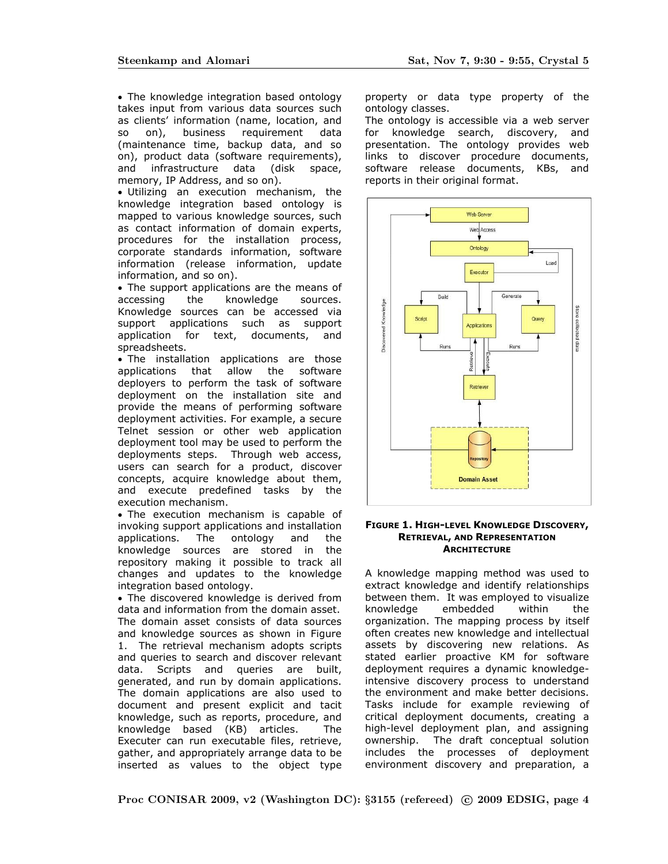• The knowledge integration based ontology takes input from various data sources such as clients' information (name, location, and so on), business requirement data (maintenance time, backup data, and so on), product data (software requirements), and infrastructure data (disk space, memory, IP Address, and so on).

• Utilizing an execution mechanism, the knowledge integration based ontology is mapped to various knowledge sources, such as contact information of domain experts, procedures for the installation process, corporate standards information, software information (release information, update information, and so on).

• The support applications are the means of accessing the knowledge sources. Knowledge sources can be accessed via support applications such as support application for text, documents, and spreadsheets.

• The installation applications are those applications that allow the software deployers to perform the task of software deployment on the installation site and provide the means of performing software deployment activities. For example, a secure Telnet session or other web application deployment tool may be used to perform the deployments steps. Through web access, users can search for a product, discover concepts, acquire knowledge about them, and execute predefined tasks by the execution mechanism.

• The execution mechanism is capable of invoking support applications and installation applications. The ontology and the knowledge sources are stored in the repository making it possible to track all changes and updates to the knowledge integration based ontology.

• The discovered knowledge is derived from data and information from the domain asset. The domain asset consists of data sources and knowledge sources as shown in Figure 1. The retrieval mechanism adopts scripts and queries to search and discover relevant data. Scripts and queries are built, generated, and run by domain applications. The domain applications are also used to document and present explicit and tacit knowledge, such as reports, procedure, and knowledge based (KB) articles. The Executer can run executable files, retrieve, gather, and appropriately arrange data to be inserted as values to the object type

property or data type property of the ontology classes.

The ontology is accessible via a web server for knowledge search, discovery, and presentation. The ontology provides web links to discover procedure documents, software release documents, KBs, and reports in their original format.



#### FIGURE 1. HIGH-LEVEL KNOWLEDGE DISCOVERY, RETRIEVAL, AND REPRESENTATION **ARCHITECTURE**

A knowledge mapping method was used to extract knowledge and identify relationships between them. It was employed to visualize knowledge embedded within the organization. The mapping process by itself often creates new knowledge and intellectual assets by discovering new relations. As stated earlier proactive KM for software deployment requires a dynamic knowledgeintensive discovery process to understand the environment and make better decisions. Tasks include for example reviewing of critical deployment documents, creating a high-level deployment plan, and assigning ownership. The draft conceptual solution includes the processes of deployment environment discovery and preparation, a

Proc CONISAR 2009, v2 (Washington DC): §3155 (refereed) © 2009 EDSIG, page 4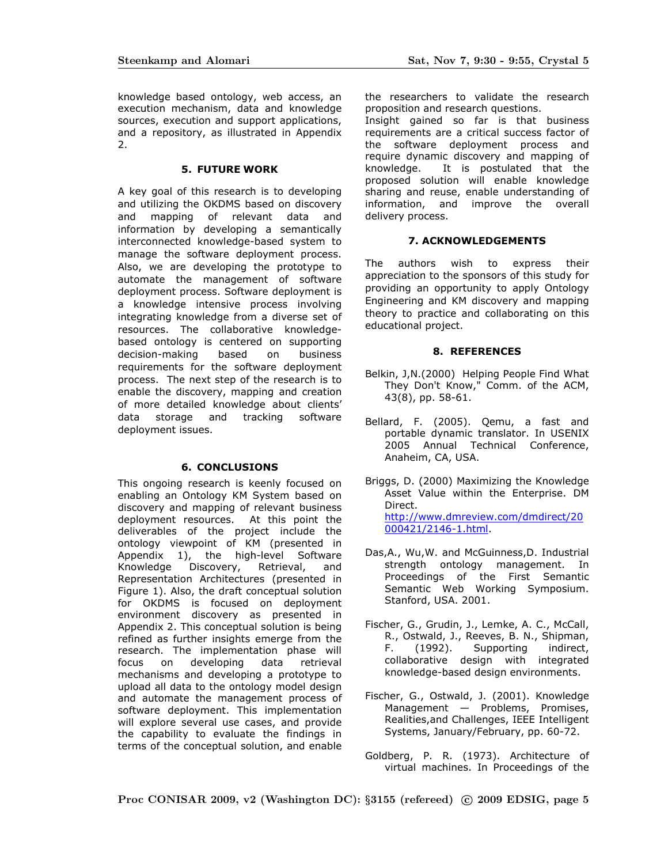knowledge based ontology, web access, an execution mechanism, data and knowledge sources, execution and support applications, and a repository, as illustrated in Appendix 2.

#### 5. FUTURE WORK

A key goal of this research is to developing and utilizing the OKDMS based on discovery and mapping of relevant data and information by developing a semantically interconnected knowledge-based system to manage the software deployment process. Also, we are developing the prototype to automate the management of software deployment process. Software deployment is a knowledge intensive process involving integrating knowledge from a diverse set of resources. The collaborative knowledgebased ontology is centered on supporting decision-making based on business requirements for the software deployment process. The next step of the research is to enable the discovery, mapping and creation of more detailed knowledge about clients' data storage and tracking software deployment issues.

# 6. CONCLUSIONS

This ongoing research is keenly focused on enabling an Ontology KM System based on discovery and mapping of relevant business deployment resources. At this point the deliverables of the project include the ontology viewpoint of KM (presented in Appendix 1), the high-level Software Knowledge Discovery, Retrieval, and Representation Architectures (presented in Figure 1). Also, the draft conceptual solution for OKDMS is focused on deployment environment discovery as presented in Appendix 2. This conceptual solution is being refined as further insights emerge from the research. The implementation phase will focus on developing data retrieval mechanisms and developing a prototype to upload all data to the ontology model design and automate the management process of software deployment. This implementation will explore several use cases, and provide the capability to evaluate the findings in terms of the conceptual solution, and enable

the researchers to validate the research proposition and research questions.

Insight gained so far is that business requirements are a critical success factor of the software deployment process and require dynamic discovery and mapping of knowledge. It is postulated that the proposed solution will enable knowledge sharing and reuse, enable understanding of information, and improve the overall delivery process.

## 7. ACKNOWLEDGEMENTS

The authors wish to express their appreciation to the sponsors of this study for providing an opportunity to apply Ontology Engineering and KM discovery and mapping theory to practice and collaborating on this educational project.

## 8. REFERENCES

- Belkin, J,N.(2000) Helping People Find What They Don't Know," Comm. of the ACM, 43(8), pp. 58-61.
- Bellard, F. (2005). Qemu, a fast and portable dynamic translator. In USENIX 2005 Annual Technical Conference, Anaheim, CA, USA.
- Briggs, D. (2000) Maximizing the Knowledge Asset Value within the Enterprise. DM Direct. http://www.dmreview.com/dmdirect/20 000421/2146-1.html.
- Das,A., Wu,W. and McGuinness,D. Industrial strength ontology management. In Proceedings of the First Semantic Semantic Web Working Symposium. Stanford, USA. 2001.
- Fischer, G., Grudin, J., Lemke, A. C., McCall, R., Ostwald, J., Reeves, B. N., Shipman, F. (1992). Supporting indirect, collaborative design with integrated knowledge-based design environments.
- Fischer, G., Ostwald, J. (2001). Knowledge Management — Problems, Promises, Realities,and Challenges, IEEE Intelligent Systems, January/February, pp. 60-72.
- Goldberg, P. R. (1973). Architecture of virtual machines. In Proceedings of the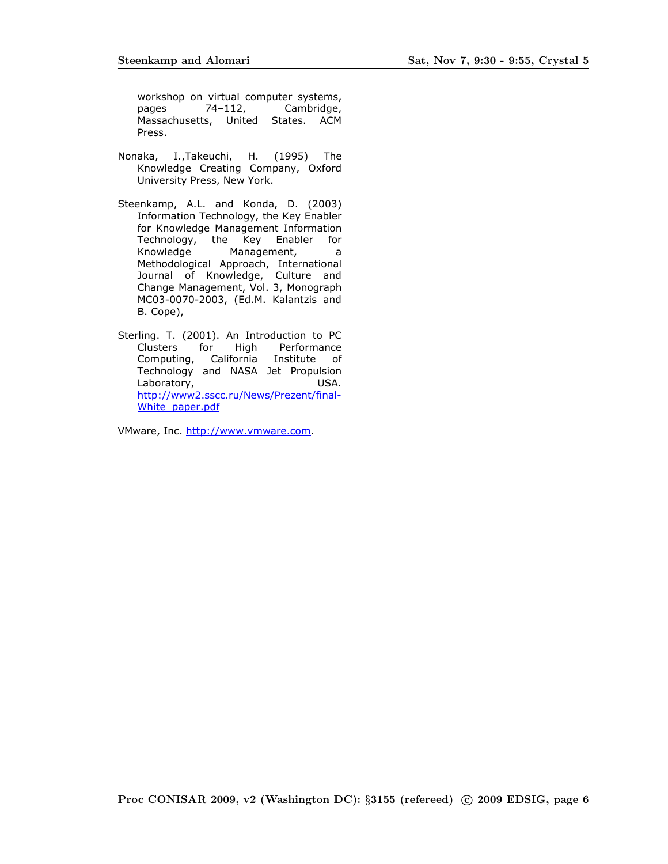workshop on virtual computer systems, pages 74–112, Cambridge, Massachusetts, United States. ACM Press.

- Nonaka, I.,Takeuchi, H. (1995) The Knowledge Creating Company, Oxford University Press, New York.
- Steenkamp, A.L. and Konda, D. (2003) Information Technology, the Key Enabler for Knowledge Management Information Technology, the Key Enabler for Knowledge Management, a Methodological Approach, International Journal of Knowledge, Culture and Change Management, Vol. 3, Monograph MC03-0070-2003, (Ed.M. Kalantzis and B. Cope),
- Sterling. T. (2001). An Introduction to PC Clusters for High Performance Computing, California Institute of Technology and NASA Jet Propulsion Laboratory, USA. http://www2.sscc.ru/News/Prezent/final-White\_paper.pdf

VMware, Inc. http://www.vmware.com.